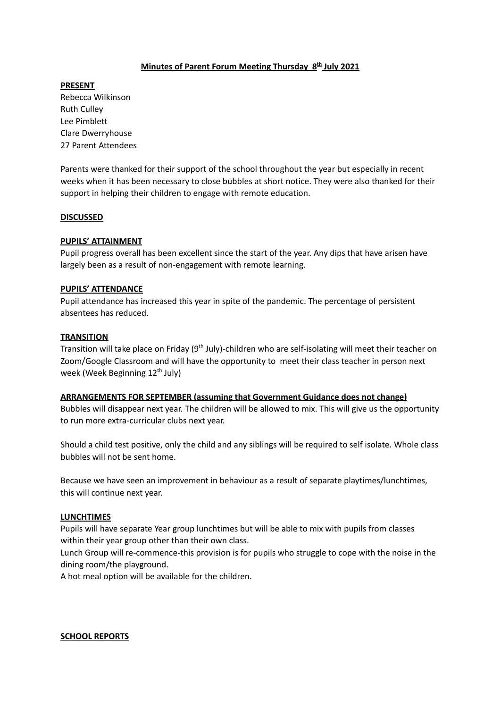## **Minutes of Parent Forum Meeting Thursday 8 th July 2021**

**PRESENT** Rebecca Wilkinson

Ruth Culley Lee Pimblett Clare Dwerryhouse 27 Parent Attendees

Parents were thanked for their support of the school throughout the year but especially in recent weeks when it has been necessary to close bubbles at short notice. They were also thanked for their support in helping their children to engage with remote education.

## **DISCUSSED**

## **PUPILS' ATTAINMENT**

Pupil progress overall has been excellent since the start of the year. Any dips that have arisen have largely been as a result of non-engagement with remote learning.

## **PUPILS' ATTENDANCE**

Pupil attendance has increased this year in spite of the pandemic. The percentage of persistent absentees has reduced.

## **TRANSITION**

Transition will take place on Friday (9<sup>th</sup> July)-children who are self-isolating will meet their teacher on Zoom/Google Classroom and will have the opportunity to meet their class teacher in person next week (Week Beginning 12<sup>th</sup> July)

## **ARRANGEMENTS FOR SEPTEMBER (assuming that Government Guidance does not change)**

Bubbles will disappear next year. The children will be allowed to mix. This will give us the opportunity to run more extra-curricular clubs next year.

Should a child test positive, only the child and any siblings will be required to self isolate. Whole class bubbles will not be sent home.

Because we have seen an improvement in behaviour as a result of separate playtimes/lunchtimes, this will continue next year.

## **LUNCHTIMES**

Pupils will have separate Year group lunchtimes but will be able to mix with pupils from classes within their year group other than their own class.

Lunch Group will re-commence-this provision is for pupils who struggle to cope with the noise in the dining room/the playground.

A hot meal option will be available for the children.

### **SCHOOL REPORTS**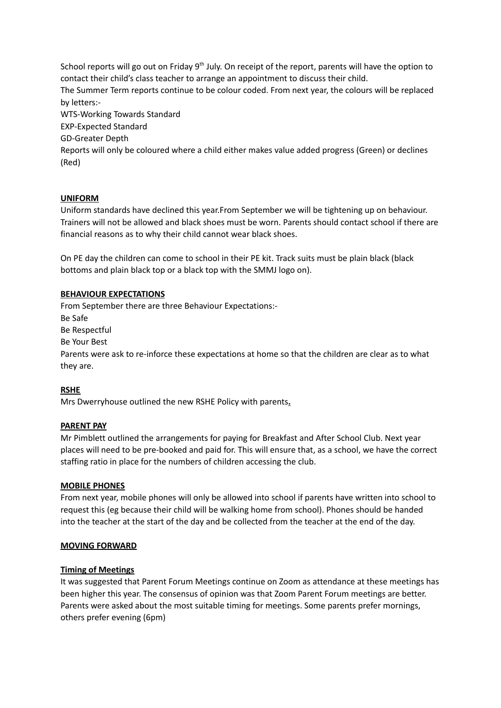School reports will go out on Friday 9<sup>th</sup> July. On receipt of the report, parents will have the option to contact their child's class teacher to arrange an appointment to discuss their child. The Summer Term reports continue to be colour coded. From next year, the colours will be replaced by letters:- WTS-Working Towards Standard EXP-Expected Standard GD-Greater Depth Reports will only be coloured where a child either makes value added progress (Green) or declines (Red)

## **UNIFORM**

Uniform standards have declined this year.From September we will be tightening up on behaviour. Trainers will not be allowed and black shoes must be worn. Parents should contact school if there are financial reasons as to why their child cannot wear black shoes.

On PE day the children can come to school in their PE kit. Track suits must be plain black (black bottoms and plain black top or a black top with the SMMJ logo on).

### **BEHAVIOUR EXPECTATIONS**

From September there are three Behaviour Expectations:- Be Safe Be Respectful Be Your Best Parents were ask to re-inforce these expectations at home so that the children are clear as to what they are.

## **RSHE**

Mrs Dwerryhouse outlined the new RSHE Policy with parents**.**

### **PARENT PAY**

Mr Pimblett outlined the arrangements for paying for Breakfast and After School Club. Next year places will need to be pre-booked and paid for. This will ensure that, as a school, we have the correct staffing ratio in place for the numbers of children accessing the club.

### **MOBILE PHONES**

From next year, mobile phones will only be allowed into school if parents have written into school to request this (eg because their child will be walking home from school). Phones should be handed into the teacher at the start of the day and be collected from the teacher at the end of the day.

### **MOVING FORWARD**

### **Timing of Meetings**

It was suggested that Parent Forum Meetings continue on Zoom as attendance at these meetings has been higher this year. The consensus of opinion was that Zoom Parent Forum meetings are better. Parents were asked about the most suitable timing for meetings. Some parents prefer mornings, others prefer evening (6pm)